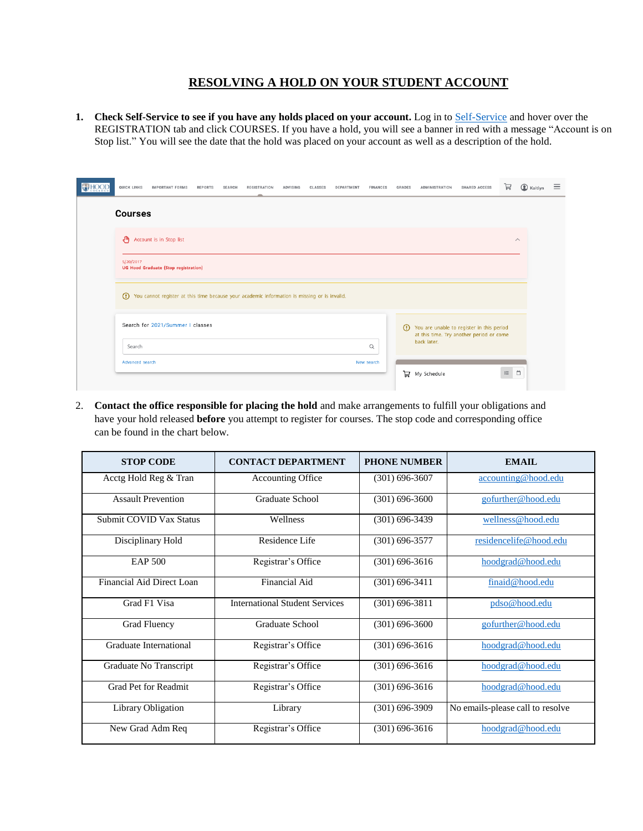## **RESOLVING A HOLD ON YOUR STUDENT ACCOUNT**

**1. Check Self-Service to see if you have any holds placed on your account.** Log in to [Self-Service](https://selfservice.hood.edu/selfservice/) and hover over the REGISTRATION tab and click COURSES. If you have a hold, you will see a banner in red with a message "Account is on Stop list." You will see the date that the hold was placed on your account as well as a description of the hold.

|  | QUICK LINKS                                                                                             | <b>IMPORTANT FORMS</b>                      | <b>REPORTS</b> | <b>SEARCH</b> | <b>REGISTRATION</b> | ADVISING | CLASSES | DEPARTMENT | <b>FINANCES</b> | <b>GRADES</b> | <b>ADMINISTRATION</b>                                                                                | <b>SHARED ACCESS</b> | A        | C Kaitlyn | Ξ |
|--|---------------------------------------------------------------------------------------------------------|---------------------------------------------|----------------|---------------|---------------------|----------|---------|------------|-----------------|---------------|------------------------------------------------------------------------------------------------------|----------------------|----------|-----------|---|
|  | <b>Courses</b>                                                                                          |                                             |                |               |                     |          |         |            |                 |               |                                                                                                      |                      |          |           |   |
|  | ୍ୟ କ                                                                                                    | Account is in Stop list                     |                |               |                     |          |         |            |                 |               |                                                                                                      |                      |          | $\wedge$  |   |
|  | 5/20/2017                                                                                               | <b>UG Hood Graduate (Stop registration)</b> |                |               |                     |          |         |            |                 |               |                                                                                                      |                      |          |           |   |
|  | $\odot$<br>You cannot register at this time because your academic information is missing or is invalid. |                                             |                |               |                     |          |         |            |                 |               |                                                                                                      |                      |          |           |   |
|  | Search for 2021/Summer I classes                                                                        |                                             |                |               |                     |          |         |            |                 | $\Omega$      | You are unable to register in this period<br>at this time. Try another period or come<br>back later. |                      |          |           |   |
|  | Search                                                                                                  |                                             |                |               |                     |          |         |            | Q               |               |                                                                                                      |                      |          |           |   |
|  | Advanced search                                                                                         |                                             |                |               |                     |          |         |            | New search      | 片             | My Schedule                                                                                          |                      | $\equiv$ | Ö         |   |

2. **Contact the office responsible for placing the hold** and make arrangements to fulfill your obligations and have your hold released **before** you attempt to register for courses. The stop code and corresponding office can be found in the chart below.

| <b>STOP CODE</b>          | <b>CONTACT DEPARTMENT</b>             | <b>PHONE NUMBER</b> | EMAIL                            |  |  |
|---------------------------|---------------------------------------|---------------------|----------------------------------|--|--|
| Acctg Hold Reg & Tran     | Accounting Office                     | $(301) 696 - 3607$  | accounting@hood.edu              |  |  |
| <b>Assault Prevention</b> | Graduate School                       | $(301)$ 696-3600    | gofurther@hood.edu               |  |  |
| Submit COVID Vax Status   | Wellness                              | $(301) 696 - 3439$  | wellness@hood.edu                |  |  |
| Disciplinary Hold         | Residence Life                        | $(301)$ 696-3577    | residencelife@hood.edu           |  |  |
| EAP 500                   | Registrar's Office                    | $(301) 696 - 3616$  | hoodgrad@hood.edu                |  |  |
| Financial Aid Direct Loan | Financial Aid                         | $(301)$ 696-3411    | finaid@hood.edu                  |  |  |
| Grad F1 Visa              | <b>International Student Services</b> | $(301)$ 696-3811    | pdso@hood.edu                    |  |  |
| Grad Fluency              | Graduate School                       | $(301)$ 696-3600    | gofurther@hood.edu               |  |  |
| Graduate International    | Registrar's Office                    | $(301)$ 696-3616    | hoodgrad@hood.edu                |  |  |
| Graduate No Transcript    | Registrar's Office                    | $(301) 696 - 3616$  | hoodgrad@hood.edu                |  |  |
| Grad Pet for Readmit      | Registrar's Office                    | $(301) 696 - 3616$  | hoodgrad@hood.edu                |  |  |
| Library Obligation        | Library                               | $(301)$ 696-3909    | No emails-please call to resolve |  |  |
| New Grad Adm Req          | Registrar's Office                    | $(301) 696 - 3616$  | hoodgrad@hood.edu                |  |  |